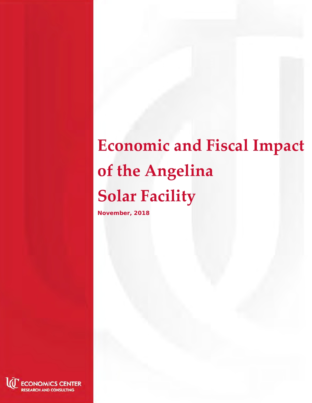# **Economic and Fiscal Impact of the Angelina Solar Facility**

**November, 2018**

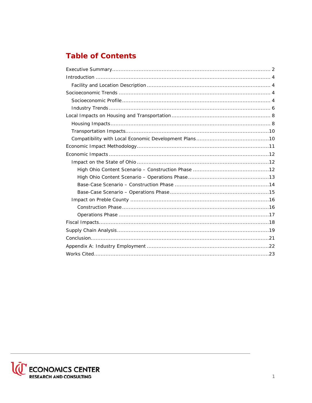# **Table of Contents**

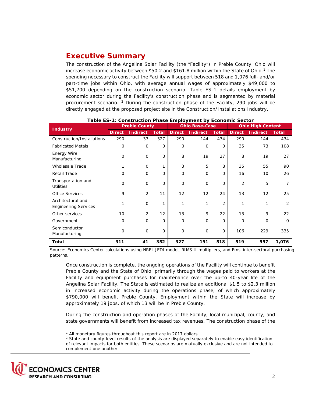# <span id="page-2-0"></span>**Executive Summary**

The construction of the Angelina Solar Facility (the "Facility") in Preble County, Ohio will increase economic activity between \$50.2 and \$[1](#page-2-2)61.8 million within the State of Ohio.<sup>1</sup> The spending necessary to construct the Facility will support between 518 and 1,076 full- and/or part-time jobs within Ohio, with average annual wages of approximately \$49,000 to \$51,700 depending on the construction scenario. Table ES-1 details employment by economic sector during the Facility's construction phase and is segmented by material procurement scenario. [2](#page-2-1) During the construction phase of the Facility, 290 jobs will be directly engaged at the proposed project site in the Construction/Installations Industry.

| <b>Industry</b>                                  |               | <b>Preble County</b> |             |               | <b>Ohio Base-Case</b> |                |                | <b>Ohio High Content</b> |                |  |
|--------------------------------------------------|---------------|----------------------|-------------|---------------|-----------------------|----------------|----------------|--------------------------|----------------|--|
|                                                  | <b>Direct</b> | <b>Indirect</b>      | Total       | <b>Direct</b> | <b>Indirect</b>       | <b>Total</b>   | <b>Direct</b>  | <b>Indirect</b>          | <b>Total</b>   |  |
| Construction/Installations                       | 290           | 37                   | 327         | 290           | 144                   | 434            | 290            | 144                      | 434            |  |
| <b>Fabricated Metals</b>                         | $\mathbf 0$   | 0                    | $\mathbf 0$ | $\mathbf 0$   | $\mathbf 0$           | $\Omega$       | 35             | 73                       | 108            |  |
| Energy Wire<br>Manufacturing                     | $\Omega$      | $\mathbf 0$          | 0           | 8             | 19                    | 27             | 8              | 19                       | 27             |  |
| <b>Wholesale Trade</b>                           |               | 0                    |             | 3             | 5                     | 8              | 35             | 55                       | 90             |  |
| <b>Retail Trade</b>                              | $\Omega$      | $\mathbf 0$          | $\Omega$    | $\mathbf 0$   | $\mathbf 0$           | 0              | 16             | 10                       | 26             |  |
| Transportation and<br><b>Utilities</b>           | $\Omega$      | $\mathbf 0$          | 0           | $\Omega$      | $\mathbf 0$           | 0              | $\overline{2}$ | 5                        | 7              |  |
| <b>Office Services</b>                           | 9             | $\overline{2}$       | 11          | 12            | 12                    | 24             | 13             | 12                       | 25             |  |
| Architectural and<br><b>Engineering Services</b> |               | $\mathbf 0$          |             | 1             | 1                     | $\overline{2}$ | 1              | 1                        | $\overline{2}$ |  |
| Other services                                   | 10            | $\overline{2}$       | 12          | 13            | 9                     | 22             | 13             | 9                        | 22             |  |
| Government                                       | $\mathbf 0$   | 0                    | 0           | $\mathbf 0$   | $\mathbf 0$           | 0              | $\mathbf{O}$   | 0                        | $\mathbf 0$    |  |
| Semiconductor<br>Manufacturing                   | $\mathbf 0$   | $\mathbf 0$          | 0           | $\mathbf 0$   | $\mathbf 0$           | 0              | 106            | 229                      | 335            |  |
| <b>Total</b>                                     | 311           | 41                   | 352         | 327           | 191                   | 518            | 519            | 557                      | 1,076          |  |

#### **Table ES-1: Construction Phase Employment by Economic Sector**

Source: Economics Center calculations using NREL JEDI model, RIMS II multipliers, and Emsi inter-sectoral purchasing patterns.

Once construction is complete, the ongoing operations of the Facility will continue to benefit Preble County and the State of Ohio, primarily through the wages paid to workers at the Facility and equipment purchases for maintenance over the up-to 40-year life of the Angelina Solar Facility. The State is estimated to realize an additional \$1.5 to \$2.3 million in increased economic activity during the operations phase, of which approximately \$790,000 will benefit Preble County. Employment within the State will increase by approximately 19 jobs, of which 13 will be in Preble County.

During the construction and operation phases of the Facility, local municipal, county, and state governments will benefit from increased tax revenues. The construction phase of the

<span id="page-2-2"></span><span id="page-2-1"></span><sup>&</sup>lt;sup>2</sup> State and county-level results of the analysis are displayed separately to enable easy identification of relevant impacts for both entities. These scenarios are mutually exclusive and are not intended to complement one another.



i, <sup>1</sup> All monetary figures throughout this report are in 2017 dollars.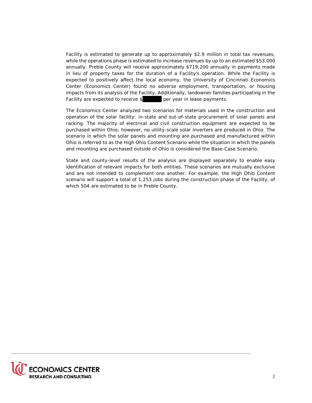Facility is estimated to generate up to approximately \$2.9 million in total tax revenues, while the operations phase is estimated to increase revenues by up to an estimated \$53,000 annually. Preble County will receive approximately \$719,200 annually in payments made in lieu of property taxes for the duration of a Facility's operation. While the Facility is expected to positively affect the local economy, the University of Cincinnati Economics Center (Economics Center) found no adverse employment, transportation, or housing impacts from its analysis of the Facility. Additionally, landowner families participating in the Facility are expected to receive \$ per year in lease payments.

The Economics Center analyzed two scenarios for materials used in the construction and operation of the solar facility: in-state and out-of-state procurement of solar panels and racking. The majority of electrical and civil construction equipment are expected to be purchased within Ohio; however, no utility-scale solar inverters are produced in Ohio. The scenario in which the solar panels and mounting are purchased and manufactured within Ohio is referred to as the High Ohio Content Scenario while the situation in which the panels and mounting are purchased outside of Ohio is considered the Base-Case Scenario.

State and county-level results of the analysis are displayed separately to enable easy identification of relevant impacts for both entities. These scenarios are mutually exclusive and are not intended to complement one another. For example, the High Ohio Content scenario will support a total of 1,253 jobs during the construction phase of the Facility, of which 504 are estimated to be in Preble County.

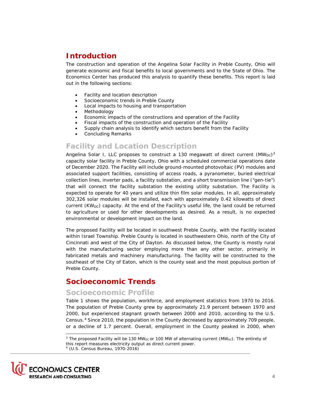# <span id="page-4-2"></span>**Introduction**

The construction and operation of the Angelina Solar Facility in Preble County, Ohio will generate economic and fiscal benefits to local governments and to the State of Ohio. The Economics Center has produced this analysis to quantify these benefits. This report is laid out in the following sections:

- Facility and location description
- Socioeconomic trends in Preble County
- Local impacts to housing and transportation
- **Methodology**
- Economic impacts of the constructions and operation of the Facility
- Fiscal impacts of the construction and operation of the Facility
- Supply chain analysis to identify which sectors benefit from the Facility
- Concluding Remarks

## <span id="page-4-3"></span>**Facility and Location Description**

Angelina Solar I, LLC proposes to construct a 1[3](#page-4-5)0 megawatt of direct current  $(MW_{DC})^3$ capacity solar facility in Preble County, Ohio with a scheduled commercial operations date of December 2020. The Facility will include ground-mounted photovoltaic (PV) modules and associated support facilities, consisting of access roads, a pyranometer, buried electrical collection lines, inverter pads, a facility substation, and a short transmission line ("gen-tie") that will connect the facility substation the existing utility substation. The Facility is expected to operate for 40 years and utilize thin film solar modules. In all, approximately 302,326 solar modules will be installed, each with approximately 0.42 kilowatts of direct current  $(KW_{DC})$  capacity. At the end of the Facility's useful life, the land could be returned to agriculture or used for other developments as desired. As a result, is no expected environmental or development impact on the land.

The proposed Facility will be located in southwest Preble County, with the Facility located within Israel Township. Preble County is located in southwestern Ohio, north of the City of Cincinnati and west of the City of Dayton. As discussed below, the County is mostly rural with the manufacturing sector employing more than any other sector, primarily in fabricated metals and machinery manufacturing. The facility will be constructed to the southeast of the City of Eaton, which is the county seat and the most populous portion of Preble County.

# <span id="page-4-0"></span>**Socioeconomic Trends**

## <span id="page-4-1"></span>**Socioeconomic Profile**

[Table 1](#page-5-0) shows the population, workforce, and employment statistics from 1970 to 2016. The population of Preble County grew by approximately 21.9 percent between 1970 and 2000, but experienced stagnant growth between 2000 and 2010, according to the U.S. Census.[4](#page-4-4) Since 2010, the population in the County decreased by approximately 709 people, or a decline of 1.7 percent. Overall, employment in the County peaked in 2000, when

<span id="page-4-5"></span><span id="page-4-4"></span><sup>&</sup>lt;sup>3</sup> The proposed Facility will be 130 MW<sub>DC</sub> or 100 MW of alternating current (MW<sub>AC</sub>). The entirety of this report measures electricity output as direct current power. <sup>4</sup> (U.S. Census Bureau, 1970-2016)



-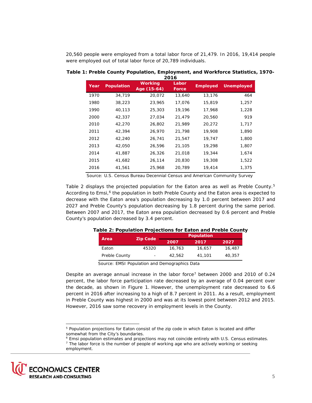20,560 people were employed from a total labor force of 21,479. In 2016, 19,414 people were employed out of total labor force of 20,789 individuals.

|      |                   |                        | 2016           |                 |                   |
|------|-------------------|------------------------|----------------|-----------------|-------------------|
| Year | <b>Population</b> | Working<br>Age (15-64) | Labor<br>Force | <b>Employed</b> | <b>Unemployed</b> |
| 1970 | 34,719            | 20,072                 | 13,640         | 13,176          | 464               |
| 1980 | 38,223            | 23,965                 | 17,076         | 15,819          | 1,257             |
| 1990 | 40,113            | 25,303                 | 19,196         | 17,968          | 1,228             |
| 2000 | 42,337            | 27,034                 | 21,479         | 20,560          | 919               |
| 2010 | 42,270            | 26,802                 | 21,989         | 20,272          | 1,717             |
| 2011 | 42,394            | 26,970                 | 21,798         | 19,908          | 1,890             |
| 2012 | 42,240            | 26,741                 | 21,547         | 19,747          | 1,800             |
| 2013 | 42,050            | 26,596                 | 21,105         | 19,298          | 1,807             |
| 2014 | 41,887            | 26,326                 | 21,018         | 19,344          | 1,674             |
| 2015 | 41,682            | 26,114                 | 20,830         | 19,308          | 1,522             |
| 2016 | 41,561            | 25,968                 | 20,789         | 19,414          | 1,375             |

<span id="page-5-0"></span>**Table 1: Preble County Population, Employment, and Workforce Statistics, 1970-**

Source: U.S. Census Bureau Decennial Census and American Community Survey

[Table 2](#page-5-4) displays the projected population for the Eaton area as well as Preble County.<sup>[5](#page-5-3)</sup> According to Emsi,<sup>[6](#page-5-1)</sup> the population in both Preble County and the Eaton area is expected to decrease with the Eaton area's population decreasing by 1.0 percent between 2017 and 2027 and Preble County's population decreasing by 1.8 percent during the same period. Between 2007 and 2017, the Eaton area population decreased by 0.6 percent and Preble County's population decreased by 3.4 percent.

|               |                 |        | <b>Population</b> |        |
|---------------|-----------------|--------|-------------------|--------|
| Area          | <b>Zip Code</b> | 2007   | 2017              | 2027   |
| Eaton         | 45320           | 16,763 | 16,657            | 16,487 |
| Preble County |                 | 42.562 | 41.101            | 40.357 |

#### <span id="page-5-4"></span>**Table 2: Population Projections for Eaton and Preble County**

Source: EMSI Population and Demographics Data

Despite an average annual increase in the labor force<sup>[7](#page-5-2)</sup> between 2000 and 2010 of 0.24 percent, the labor force participation rate decreased by an average of 0.04 percent over the decade, as shown in [Figure 1.](#page-6-1) However, the unemployment rate decreased to 6.6 percent in 2016 after increasing to a high of 8.7 percent in 2011. As a result, employment in Preble County was highest in 2000 and was at its lowest point between 2012 and 2015. However, 2016 saw some recovery in employment levels in the County.

i, <sup>5</sup> Population projections for Eaton consist of the zip code in which Eaton is located and differ somewhat from the City's boundaries.

<sup>6</sup> Emsi population estimates and projections may not coincide entirely with U.S. Census estimates.

<span id="page-5-3"></span><span id="page-5-2"></span><span id="page-5-1"></span> $<sup>7</sup>$  The labor force is the number of people of working age who are actively working or seeking</sup> employment.

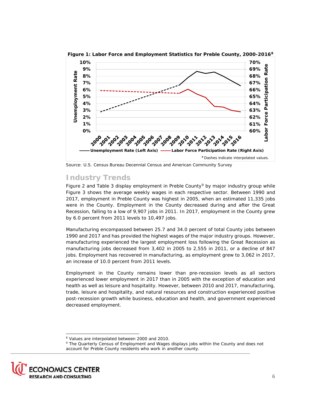

<span id="page-6-1"></span>**Figure 1: Labor Force and Employment Statistics for Preble County, 2000-2016[8](#page-6-2)**

Source: U.S. Census Bureau Decennial Census and American Community Survey

## <span id="page-6-0"></span>**Industry Trends**

[Figure 2](#page-7-0) and [Table 3](#page-7-1) display employment in Preble County<sup>[9](#page-6-3)</sup> by major industry group while [Figure 3](#page-8-2) shows the average weekly wages in each respective sector. Between 1990 and 2017, employment in Preble County was highest in 2005, when an estimated 11,335 jobs were in the County. Employment in the County decreased during and after the Great Recession, falling to a low of 9,907 jobs in 2011. In 2017, employment in the County grew by 6.0 percent from 2011 levels to 10,497 jobs.

Manufacturing encompassed between 25.7 and 34.0 percent of total County jobs between 1990 and 2017 and has provided the highest wages of the major industry groups. However, manufacturing experienced the largest employment loss following the Great Recession as manufacturing jobs decreased from 3,402 in 2005 to 2,555 in 2011, or a decline of 847 jobs. Employment has recovered in manufacturing, as employment grew to 3,062 in 2017, an increase of 10.0 percent from 2011 levels.

Employment in the County remains lower than pre-recession levels as all sectors experienced lower employment in 2017 than in 2005 with the exception of education and health as well as leisure and hospitality. However, between 2010 and 2017, manufacturing, trade, leisure and hospitality, and natural resources and construction experienced positive post-recession growth while business, education and health, and government experienced decreased employment.

<span id="page-6-3"></span><span id="page-6-2"></span><sup>9</sup> The Quarterly Census of Employment and Wages displays jobs within the County and does not account for Preble County residents who work in another county.



-

<sup>8</sup> Values are interpolated between 2000 and 2010.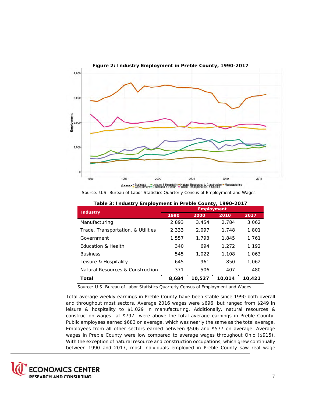<span id="page-7-0"></span>

Source: U.S. Bureau of Labor Statistics Quarterly Census of Employment and Wages

<span id="page-7-1"></span>

| <b>Industry</b>                    |       | <b>Employment</b> |        |        |
|------------------------------------|-------|-------------------|--------|--------|
|                                    | 1990  | 2000              | 2010   | 2017   |
| Manufacturing                      | 2,893 | 3,454             | 2,784  | 3,062  |
| Trade, Transportation, & Utilities | 2,333 | 2,097             | 1,748  | 1,801  |
| Government                         | 1,557 | 1,793             | 1,845  | 1,761  |
| Education & Health                 | 340   | 694               | 1,272  | 1,192  |
| <b>Business</b>                    | 545   | 1.022             | 1,108  | 1,063  |
| Leisure & Hospitality              | 645   | 961               | 850    | 1.062  |
| Natural Resources & Construction   | 371   | 506               | 407    | 480    |
| Total                              | 8,684 | 10,527            | 10,014 | 10,421 |

| Table 3: Industry Employment in Preble County, 1990-2017 |
|----------------------------------------------------------|
|----------------------------------------------------------|

Source: U.S. Bureau of Labor Statistics Quarterly Census of Employment and Wages

Total average weekly earnings in Preble County have been stable since 1990 both overall and throughout most sectors. Average 2016 wages were \$696, but ranged from \$249 in leisure & hospitality to \$1,029 in manufacturing. Additionally, natural resources & construction wages—at \$797—were above the total average earnings in Preble County. Public employees earned \$683 on average, which was nearly the same as the total average. Employees from all other sectors earned between \$506 and \$577 on average. Average wages in Preble County were low compared to average wages throughout Ohio (\$915). With the exception of natural resource and construction occupations, which grew continually between 1990 and 2017, most individuals employed in Preble County saw real wage

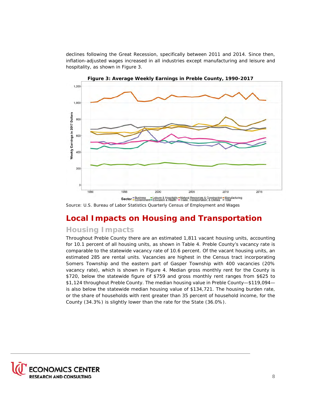declines following the Great Recession, specifically between 2011 and 2014. Since then, inflation-adjusted wages increased in all industries except manufacturing and leisure and hospitality, as shown in [Figure 3.](#page-8-2)

<span id="page-8-2"></span>

**Figure 3: Average Weekly Earnings in Preble County, 1990-2017**

Source: U.S. Bureau of Labor Statistics Quarterly Census of Employment and Wages

# <span id="page-8-0"></span>**Local Impacts on Housing and Transportation**

## <span id="page-8-1"></span>**Housing Impacts**

Throughout Preble County there are an estimated 1,811 vacant housing units, accounting for 10.1 percent of all housing units, as shown in [Table 4.](#page-9-0) Preble County's vacancy rate is comparable to the statewide vacancy rate of 10.6 percent. Of the vacant housing units, an estimated 285 are rental units. Vacancies are highest in the Census tract incorporating Somers Township and the eastern part of Gasper Township with 400 vacancies (20% vacancy rate), which is shown in Figure 4. Median gross monthly rent for the County is \$720, below the statewide figure of \$759 and gross monthly rent ranges from \$625 to \$1,124 throughout Preble County. The median housing value in Preble County—\$119,094 is also below the statewide median housing value of \$134,721. The housing burden rate, or the share of households with rent greater than 35 percent of household income, for the County (34.3%) is slightly lower than the rate for the State (36.0%).

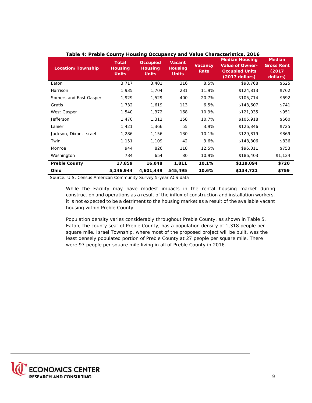| Location/Township      | <b>Total</b><br><b>Housing</b><br><b>Units</b> | <b>Occupied</b><br><b>Housing</b><br><b>Units</b> | <b>Vacant</b><br><b>Housing</b><br><b>Units</b> | <b>Vacancy</b><br>Rate | Table 4. Fleble County Housing Occupancy and value Characteristics, 2010<br><b>Median Housing</b><br><b>Value of Owner-</b><br><b>Occupied Units</b><br>$(2017$ dollars) | <b>Median</b><br><b>Gross Rent</b><br>(2017)<br>dollars) |
|------------------------|------------------------------------------------|---------------------------------------------------|-------------------------------------------------|------------------------|--------------------------------------------------------------------------------------------------------------------------------------------------------------------------|----------------------------------------------------------|
| Eaton                  | 3,717                                          | 3,401                                             | 316                                             | 8.5%                   | \$98,768                                                                                                                                                                 | \$625                                                    |
| Harrison               | 1,935                                          | 1,704                                             | 231                                             | 11.9%                  | \$124,813                                                                                                                                                                | \$762                                                    |
| Somers and East Gasper | 1,929                                          | 1,529                                             | 400                                             | 20.7%                  | \$105,714                                                                                                                                                                | \$692                                                    |
| Gratis                 | 1,732                                          | 1,619                                             | 113                                             | 6.5%                   | \$143,607                                                                                                                                                                | \$741                                                    |
| West Gasper            | 1,540                                          | 1,372                                             | 168                                             | 10.9%                  | \$121,035                                                                                                                                                                | \$951                                                    |
| Jefferson              | 1,470                                          | 1,312                                             | 158                                             | 10.7%                  | \$105,918                                                                                                                                                                | \$660                                                    |
| Lanier                 | 1,421                                          | 1,366                                             | 55                                              | 3.9%                   | \$126,346                                                                                                                                                                | \$725                                                    |
| Jackson, Dixon, Israel | 1,286                                          | 1,156                                             | 130                                             | 10.1%                  | \$129,819                                                                                                                                                                | \$869                                                    |
| Twin                   | 1,151                                          | 1,109                                             | 42                                              | 3.6%                   | \$148,306                                                                                                                                                                | \$836                                                    |
| Monroe                 | 944                                            | 826                                               | 118                                             | 12.5%                  | \$96,011                                                                                                                                                                 | \$753                                                    |
| Washington             | 734                                            | 654                                               | 80                                              | 10.9%                  | \$186,403                                                                                                                                                                | \$1,124                                                  |
| <b>Preble County</b>   | 17,859                                         | 16,048                                            | 1,811                                           | 10.1%                  | \$119,094                                                                                                                                                                | \$720                                                    |
| Ohio                   | 5,146,944                                      | 4,601,449                                         | 545,495                                         | 10.6%                  | \$134,721                                                                                                                                                                | \$759                                                    |

## <span id="page-9-0"></span>**Table 4: Preble County Housing Occupancy and Value Characteristics, 2016**

Source: U.S. Census American Community Survey 5-year ACS data

While the Facility may have modest impacts in the rental housing market during construction and operations as a result of the influx of construction and installation workers, it is not expected to be a detriment to the housing market as a result of the available vacant housing within Preble County.

Population density varies considerably throughout Preble County, as shown in [Table 5.](#page-10-2) Eaton, the county seat of Preble County, has a population density of 1,318 people per square mile. Israel Township, where most of the proposed project will be built, was the least densely populated portion of Preble County at 27 people per square mile. There were 97 people per square mile living in all of Preble County in 2016.

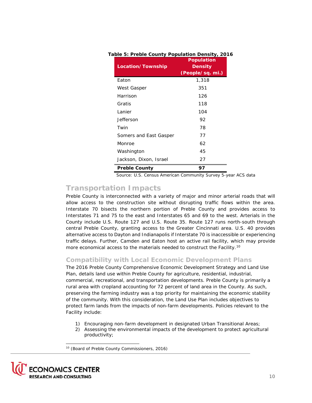| Location/Township      | <b>Population</b><br><b>Density</b><br>(People/sq. mi.) |
|------------------------|---------------------------------------------------------|
| Eaton                  | 1,318                                                   |
| West Gasper            | 351                                                     |
| Harrison               | 126                                                     |
| Gratis                 | 118                                                     |
| Lanier                 | 104                                                     |
| Jefferson              | 92                                                      |
| Twin                   | 78                                                      |
| Somers and East Gasper | 77                                                      |
| Monroe                 | 62                                                      |
| Washington             | 45                                                      |
| Jackson, Dixon, Israel | 27                                                      |
| <b>Preble County</b>   | 97                                                      |
|                        |                                                         |

#### <span id="page-10-2"></span>**Table 5: Preble County Population Density, 2016**

Source: U.S. Census American Community Survey 5-year ACS data

## <span id="page-10-1"></span>**Transportation Impacts**

Preble County is interconnected with a variety of major and minor arterial roads that will allow access to the construction site without disrupting traffic flows within the area. Interstate 70 bisects the northern portion of Preble County and provides access to Interstates 71 and 75 to the east and Interstates 65 and 69 to the west. Arterials in the County include U.S. Route 127 and U.S. Route 35. Route 127 runs north-south through central Preble County, granting access to the Greater Cincinnati area. U.S. 40 provides alternative access to Dayton and Indianapolis if Interstate 70 is inaccessible or experiencing traffic delays. Further, Camden and Eaton host an active rail facility, which may provide more economical access to the materials needed to construct the Facility.<sup>[10](#page-10-3)</sup>

## <span id="page-10-0"></span>**Compatibility with Local Economic Development Plans**

The 2016 Preble County Comprehensive Economic Development Strategy and Land Use Plan, details land use within Preble County for agriculture, residential, industrial, commercial, recreational, and transportation developments. Preble County is primarily a rural area with cropland accounting for 72 percent of land area in the County. As such, preserving the farming industry was a top priority for maintaining the economic stability of the community. With this consideration, the Land Use Plan includes objectives to protect farm lands from the impacts of non-farm developments. Policies relevant to the Facility include:

- 1) Encouraging non-farm development in designated Urban Transitional Areas;
- 2) Assessing the environmental impacts of the development to protect agricultural productivity;

<span id="page-10-3"></span><sup>10</sup> (Board of Preble County Commissioners, 2016)



-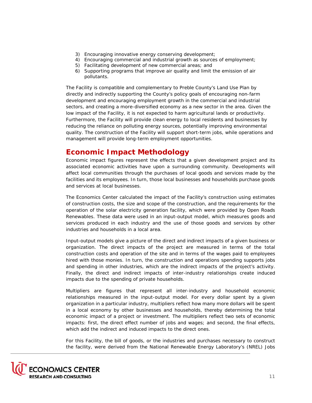- 3) Encouraging innovative energy conserving development;
- 4) Encouraging commercial and industrial growth as sources of employment;
- 5) Facilitating development of new commercial areas; and
- 6) Supporting programs that improve air quality and limit the emission of air pollutants.

The Facility is compatible and complementary to Preble County's Land Use Plan by directly and indirectly supporting the County's policy goals of encouraging non-farm development and encouraging employment growth in the commercial and industrial sectors, and creating a more-diversified economy as a new sector in the area. Given the low impact of the Facility, it is not expected to harm agricultural lands or productivity. Furthermore, the Facility will provide clean energy to local residents and businesses by reducing the reliance on polluting energy sources, potentially improving environmental quality. The construction of the Facility will support short-term jobs, while operations and management will provide long-term employment opportunities.

## <span id="page-11-0"></span>**Economic Impact Methodology**

Economic impact figures represent the effects that a given development project and its associated economic activities have upon a surrounding community. Developments will affect local communities through the purchases of local goods and services made by the facilities and its employees. In turn, those local businesses and households purchase goods and services at local businesses.

The Economics Center calculated the impact of the Facility's construction using estimates of construction costs, the size and scope of the construction, and the requirements for the operation of the solar electricity generation facility, which were provided by Open Roads Renewables. These data were used in an input-output model, which measures goods and services produced in each industry and the use of those goods and services by other industries and households in a local area.

Input-output models give a picture of the direct and indirect impacts of a given business or organization. The direct impacts of the project are measured in terms of the total construction costs and operation of the site and in terms of the wages paid to employees hired with those monies. In turn, the construction and operations spending supports jobs and spending in other industries, which are the indirect impacts of the project's activity. Finally, the direct and indirect impacts of inter-industry relationships create induced impacts due to the spending of private households.

Multipliers are figures that represent all inter-industry and household economic relationships measured in the input-output model. For every dollar spent by a given organization in a particular industry, multipliers reflect how many more dollars will be spent in a local economy by other businesses and households, thereby determining the total economic impact of a project or investment. The multipliers reflect two sets of economic impacts: first, the direct effect number of jobs and wages; and second, the final effects, which add the indirect and induced impacts to the direct ones.

For this Facility, the bill of goods, or the industries and purchases necessary to construct the facility, were derived from the National Renewable Energy Laboratory's (NREL) Jobs

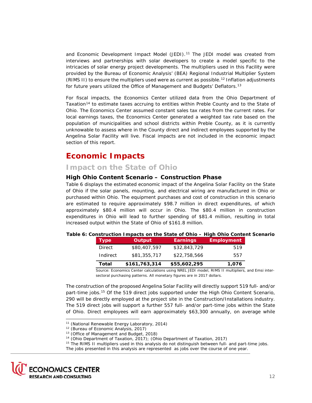and Economic Development Impact Model (JEDI).<sup>[11](#page-12-7)</sup> The JEDI model was created from interviews and partnerships with solar developers to create a model specific to the intricacies of solar energy project developments. The multipliers used in this Facility were provided by the Bureau of Economic Analysis' (BEA) Regional Industrial Multiplier System (RIMS II) to ensure the multipliers used were as current as possible.<sup>[12](#page-12-8)</sup> Inflation adjustments for future years utilized the Office of Management and Budgets' Deflators.<sup>[13](#page-12-3)</sup>

For fiscal impacts, the Economics Center utilized data from the Ohio Department of Taxation<sup>[14](#page-12-4)</sup> to estimate taxes accruing to entities within Preble County and to the State of Ohio. The Economics Center assumed constant sales tax rates from the current rates. For local earnings taxes, the Economics Center generated a weighted tax rate based on the population of municipalities and school districts within Preble County, as it is currently unknowable to assess where in the County direct and indirect employees supported by the Angelina Solar Facility will live. Fiscal impacts are not included in the economic impact section of this report.

# <span id="page-12-2"></span>**Economic Impacts**

## <span id="page-12-1"></span>**Impact on the State of Ohio**

## <span id="page-12-0"></span>**High Ohio Content Scenario – Construction Phase**

[Table 6](#page-12-6) displays the estimated economic impact of the Angelina Solar Facility on the State of Ohio if the solar panels, mounting, and electrical wiring are manufactured in Ohio or purchased within Ohio. The equipment purchases and cost of construction in this scenario are estimated to require approximately \$98.7 million in direct expenditures, of which approximately \$80.4 million will occur in Ohio. The \$80.4 million in construction expenditures in Ohio will lead to further spending of \$81.4 million, resulting in total increased output within the State of Ohio of \$161.8 million.

<span id="page-12-6"></span>

|  |  |  |  | Table 6: Construction Impacts on the State of Ohio - High Ohio Content Scenario |
|--|--|--|--|---------------------------------------------------------------------------------|
|  |  |  |  |                                                                                 |

| Total       | \$161,763,314 | \$55,602,295    | 1,076             |
|-------------|---------------|-----------------|-------------------|
| Indirect    | \$81,355,717  | \$22,758,566    | 557               |
| Direct      | \$80,407,597  | \$32,843,729    | 519               |
| <b>Type</b> | Output        | <b>Earnings</b> | <b>Employment</b> |

Source: Economics Center calculations using NREL JEDI model, RIMS II multipliers, and Emsi intersectoral purchasing patterns. All monetary figures are in 2017 dollars.

The construction of the proposed Angelina Solar Facility will directly support 519 full- and/or part-time jobs[.15](#page-12-5) Of the 519 direct jobs supported under the High Ohio Content Scenario, 290 will be directly employed at the project site in the Construction/Installations industry. The 519 direct jobs will support a further 557 full- and/or part-time jobs within the State of Ohio. Direct employees will earn approximately \$63,300 annually, on average while

<span id="page-12-8"></span><span id="page-12-7"></span><span id="page-12-5"></span><span id="page-12-4"></span><span id="page-12-3"></span>The jobs presented in this analysis are represented as jobs over the course of one year.



i, <sup>11</sup> (National Renewable Energy Laboratory, 2014)

<sup>&</sup>lt;sup>12</sup> (Bureau of Economic Analysis, 2017)

<sup>&</sup>lt;sup>13</sup> (Office of Management and Budget, 2018)

<sup>14</sup> (Ohio Department of Taxation, 2017); (Ohio Department of Taxation, 2017)

<sup>&</sup>lt;sup>15</sup> The RIMS II multipliers used in this analysis do not distinguish between full- and part-time jobs.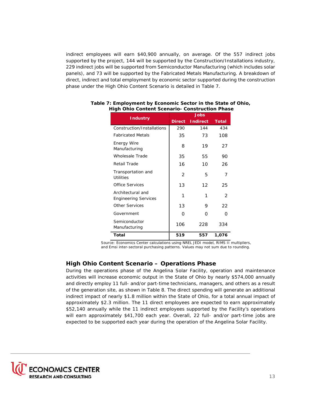indirect employees will earn \$40,900 annually, on average. Of the 557 indirect jobs supported by the project, 144 will be supported by the Construction/Installations industry, 229 indirect jobs will be supported from Semiconductor Manufacturing (which includes solar panels), and 73 will be supported by the Fabricated Metals Manufacturing. A breakdown of direct, indirect and total employment by economic sector supported during the construction phase under the High Ohio Content Scenario is detailed in Table 7.

|                                                  |               | <b>Jobs</b>     |              |
|--------------------------------------------------|---------------|-----------------|--------------|
| <b>Industry</b>                                  | <b>Direct</b> | <b>Indirect</b> | <b>Total</b> |
| Construction/Installations                       | 290           | 144             | 434          |
| <b>Fabricated Metals</b>                         | 35            | 73              | 108          |
| <b>Energy Wire</b><br>Manufacturing              | 8             | 19              | 27           |
| Wholesale Trade                                  | 35            | 55              | 90           |
| Retail Trade                                     | 16            | 10              | 26           |
| Transportation and<br>Utilities                  | $\mathcal{P}$ | 5               | 7            |
| Office Services                                  | 13            | 12              | 25           |
| Architectural and<br><b>Engineering Services</b> | 1             | 1               | 2            |
| <b>Other Services</b>                            | 13            | 9               | 22           |
| Government                                       | Ω             | ∩               | റ            |
| Semiconductor<br>Manufacturing                   | 106           | 228             | 334          |
| <b>Total</b>                                     | 519           | 557             | 1,076        |

#### **Table 7: Employment by Economic Sector in the State of Ohio, High Ohio Content Scenario- Construction Phase**

 Source: Economics Center calculations using NREL JEDI model, RIMS II multipliers, and Emsi inter-sectoral purchasing patterns. Values may not sum due to rounding.

## <span id="page-13-0"></span>**High Ohio Content Scenario – Operations Phase**

During the operations phase of the Angelina Solar Facility, operation and maintenance activities will increase economic output in the State of Ohio by nearly \$574,000 annually and directly employ 11 full- and/or part-time technicians, managers, and others as a result of the generation site, as shown in Table 8. The direct spending will generate an additional indirect impact of nearly \$1.8 million within the State of Ohio, for a total annual impact of approximately \$2.3 million. The 11 direct employees are expected to earn approximately \$52,140 annually while the 11 indirect employees supported by the Facility's operations will earn approximately \$41,700 each year. Overall, 22 full- and/or part-time jobs are expected to be supported each year during the operation of the Angelina Solar Facility.

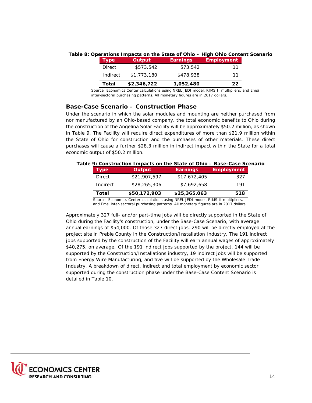| <b>Type</b> | <b>Output</b> | <b>Earnings</b> | <b>Employment</b> |
|-------------|---------------|-----------------|-------------------|
| Direct      | \$573,542     | 573.542         | 11                |
| Indirect    | \$1,773,180   | \$478,938       | 11                |
| Total       | \$2,346,722   | 1,052,480       | 22                |

#### **Table 8: Operations Impacts on the State of Ohio – High Ohio Content Scenario**

Source: Economics Center calculations using NREL JEDI model, RIMS II multipliers, and Emsi inter-sectoral purchasing patterns. All monetary figures are in 2017 dollars.

### <span id="page-14-0"></span>**Base-Case Scenario – Construction Phase**

Under the scenario in which the solar modules and mounting are neither purchased from nor manufactured by an Ohio-based company, the total economic benefits to Ohio during the construction of the Angelina Solar Facility will be approximately \$50.2 million, as shown in Table 9. The Facility will require direct expenditures of more than \$21.9 million within the State of Ohio for construction and the purchases of other materials. These direct purchases will cause a further \$28.3 million in indirect impact within the State for a total economic output of \$50.2 million.

#### **Table 9: Construction Impacts on the State of Ohio – Base-Case Scenario Type Output Earnings Employment**

| <u>i ype</u> | Output                                                                            | carnings     | <b>Employment</b> |
|--------------|-----------------------------------------------------------------------------------|--------------|-------------------|
| Direct       | \$21,907,597                                                                      | \$17,672,405 | 327               |
| Indirect     | \$28,265,306                                                                      | \$7,692,658  | 191               |
| Total        | \$50,172,903                                                                      | \$25,365,063 | 518               |
|              | Source: Economics Center calculations using NREL JEDI model. RIMS II multipliers. |              |                   |

Source: Economics Center calculations using NREL JEDI model, RIMS II multipliers, and Emsi inter-sectoral purchasing patterns. All monetary figures are in 2017 dollars.

Approximately 327 full- and/or part-time jobs will be directly supported in the State of Ohio during the Facility's construction, under the Base-Case Scenario, with average annual earnings of \$54,000. Of those 327 direct jobs, 290 will be directly employed at the project site in Preble County in the Construction/Installation Industry. The 191 indirect jobs supported by the construction of the Facility will earn annual wages of approximately \$40,275, on average. Of the 191 indirect jobs supported by the project, 144 will be supported by the Construction/Installations industry, 19 indirect jobs will be supported from Energy Wire Manufacturing, and five will be supported by the Wholesale Trade Industry. A breakdown of direct, indirect and total employment by economic sector supported during the construction phase under the Base-Case Content Scenario is detailed in Table 10.

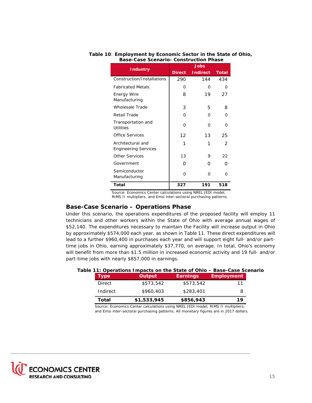|                                                  | Jobs          |                 |              |  |
|--------------------------------------------------|---------------|-----------------|--------------|--|
| <b>Industry</b>                                  | <b>Direct</b> | <b>Indirect</b> | <b>Total</b> |  |
| Construction/Installations                       | 290           | 144             | 434          |  |
| <b>Fabricated Metals</b>                         | Ω             | O               | Ω            |  |
| Energy Wire<br>Manufacturing                     | 8             | 19              | 27           |  |
| Wholesale Trade                                  | 3             | 5               | 8            |  |
| Retail Trade                                     | O             | O               | U            |  |
| Transportation and<br>Utilities                  | ∩             | O               | U            |  |
| Office Services                                  | 12            | 13              | 25           |  |
| Architectural and<br><b>Engineering Services</b> | 1             | 1               | 2            |  |
| <b>Other Services</b>                            | 13            | 9               | 22           |  |
| Government                                       | Ω             | O               | ∩            |  |
| Semiconductor<br>Manufacturing                   | $\Omega$      | O               | U            |  |
| Total                                            | 327           | 191             | 518          |  |

#### **Table 10**: **Employment by Economic Sector in the State of Ohio, Base-Case Scenario- Construction Phase**

Source: Economics Center calculations using NREL JEDI model, RIMS II multipliers, and Emsi inter-sectoral purchasing patterns.

## <span id="page-15-0"></span>**Base-Case Scenario – Operations Phase**

Under this scenario, the operations expenditures of the proposed facility will employ 11 technicians and other workers within the State of Ohio with average annual wages of \$52,140. The expenditures necessary to maintain the Facility will increase output in Ohio by approximately \$574,000 each year, as shown in Table 11. These direct expenditures will lead to a further \$960,400 in purchases each year and will support eight full- and/or parttime jobs in Ohio, earning approximately \$37,770, on average. In total, Ohio's economy will benefit from more than \$1.5 million in increased economic activity and 19 full- and/or part-time jobs with nearly \$857,000 in earnings.

## **Table 11: Operations Impacts on the State of Ohio – Base-Case Scenario**

| Type     | Output      | <b>Earnings</b> | <b>Employment</b> |
|----------|-------------|-----------------|-------------------|
| Direct   | \$573,542   | \$573,542       | 11                |
| Indirect | \$960,403   | \$283,401       | 8                 |
| Total    | \$1,533,945 | \$856,943       | 19                |

 Source: Economics Center calculations using NREL JEDI model, RIMS II multipliers, and Emsi inter-sectoral purchasing patterns. All monetary figures are in 2017 dollars.

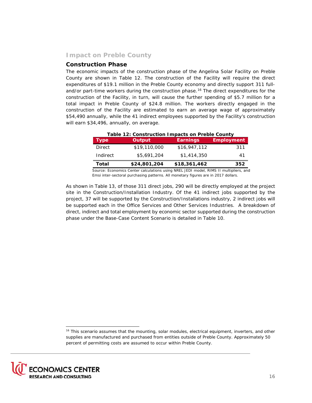## <span id="page-16-0"></span>**Impact on Preble County**

#### <span id="page-16-1"></span>**Construction Phase**

The economic impacts of the construction phase of the Angelina Solar Facility on Preble County are shown in Table 12. The construction of the Facility will require the direct expenditures of \$19.1 million in the Preble County economy and directly support 311 full-and/or part-time workers during the construction phase.<sup>[16](#page-16-2)</sup> The direct expenditures for the construction of the Facility, in turn, will cause the further spending of \$5.7 million for a total impact in Preble County of \$24.8 million. The workers directly engaged in the construction of the Facility are estimated to earn an average wage of approximately \$54,490 annually, while the 41 indirect employees supported by the Facility's construction will earn \$34,496, annually, on average.

| Table 12: Construction Impacts on Preble County                                      |              |                 |                   |  |
|--------------------------------------------------------------------------------------|--------------|-----------------|-------------------|--|
| <b>Type</b>                                                                          | Output       | <b>Earnings</b> | <b>Employment</b> |  |
| <b>Direct</b>                                                                        | \$19,110,000 | \$16,947,112    | 311               |  |
| Indirect                                                                             | \$5,691,204  | \$1,414,350     | 41                |  |
| Total                                                                                | \$24,801,204 | \$18,361,462    | 352               |  |
| Course, Feanamics Conter soleulations using NDFL JEDJ meadel. DIMC H multipliers, an |              |                 |                   |  |

 Source: Economics Center calculations using NREL JEDI model, RIMS II multipliers, and Emsi inter-sectoral purchasing patterns. All monetary figures are in 2017 dollars.

As shown in Table 13, of those 311 direct jobs, 290 will be directly employed at the project site in the Construction/Installation Industry. Of the 41 indirect jobs supported by the project, 37 will be supported by the Construction/Installations industry, 2 indirect jobs will be supported each in the Office Services and Other Services Industries. A breakdown of direct, indirect and total employment by economic sector supported during the construction phase under the Base-Case Content Scenario is detailed in Table 10.

<span id="page-16-2"></span>i, <sup>16</sup> This scenario assumes that the mounting, solar modules, electrical equipment, inverters, and other supplies are manufactured and purchased from entities outside of Preble County. Approximately 50 percent of permitting costs are assumed to occur within Preble County.

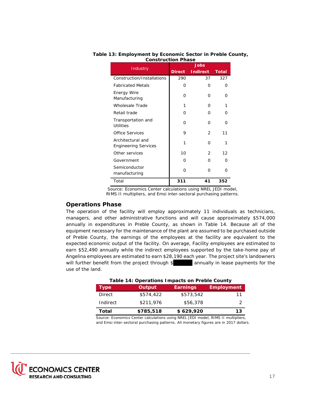|                                                  | Jobs          |                 |              |  |
|--------------------------------------------------|---------------|-----------------|--------------|--|
| Industry                                         | <b>Direct</b> | <b>Indirect</b> | <b>Total</b> |  |
| Construction/Installations                       | 290           | 37              | 327          |  |
| <b>Fabricated Metals</b>                         | Ω             | O               | Ω            |  |
| Energy Wire<br>Manufacturing                     | O             | 0               | U            |  |
| Wholesale Trade                                  | 1             | O               | 1            |  |
| Retail trade                                     | U             | O               | ∩            |  |
| Transportation and<br>Utilities                  | O             | O               | ∩            |  |
| Office Services                                  | 9             | $\mathcal{P}$   | 11           |  |
| Architectural and<br><b>Engineering Services</b> | 1             | O               | 1            |  |
| Other services                                   | 10            | $\mathcal{P}$   | 12           |  |
| Government                                       | U             | O               | ∩            |  |
| Semiconductor<br>manufacturing                   | O             | O               | ∩            |  |
| Total                                            | 311           | 41              | 352          |  |

#### **Table 13: Employment by Economic Sector in Preble County, Construction Phase**

Source: Economics Center calculations using NREL JEDI model, RIMS II multipliers, and Emsi inter-sectoral purchasing patterns.

## <span id="page-17-0"></span>**Operations Phase**

The operation of the facility will employ approximately 11 individuals as technicians, managers, and other administrative functions and will cause approximately \$574,000 annually in expenditures in Preble County, as shown in Table 14. Because all of the equipment necessary for the maintenance of the plant are assumed to be purchased outside of Preble County, the earnings of the employees at the facility are equivalent to the expected economic output of the facility. On average, Facility employees are estimated to earn \$52,490 annually while the indirect employees supported by the take-home pay of Angelina employees are estimated to earn \$28,190 each year. The project site's landowners will further benefit from the project through \$ annually in lease payments for the use of the land.

| Table 14: Operations Impacts on Preble County |           |                 |                   |  |
|-----------------------------------------------|-----------|-----------------|-------------------|--|
| <b>Type</b>                                   | Output    | <b>Earnings</b> | <b>Employment</b> |  |
| <b>Direct</b>                                 | \$574,422 | \$573,542       | 11                |  |
| Indirect                                      | \$211,976 | \$56,378        |                   |  |
| Total                                         | \$785,518 | \$629,920       | 13                |  |

 Source: Economics Center calculations using NREL JEDI model, RIMS II multipliers, and Emsi inter-sectoral purchasing patterns. All monetary figures are in 2017 dollars.

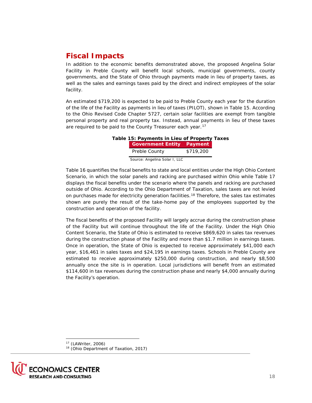# <span id="page-18-0"></span>**Fiscal Impacts**

In addition to the economic benefits demonstrated above, the proposed Angelina Solar Facility in Preble County will benefit local schools, municipal governments, county governments, and the State of Ohio through payments made in lieu of property taxes, as well as the sales and earnings taxes paid by the direct and indirect employees of the solar facility.

An estimated \$719,200 is expected to be paid to Preble County each year for the duration of the life of the Facility as payments in lieu of taxes (PILOT), shown in Table 15. According to the Ohio Revised Code Chapter 5727, certain solar facilities are exempt from tangible personal property and real property tax. Instead, annual payments in lieu of these taxes are required to be paid to the County Treasurer each year.<sup>[17](#page-18-2)</sup>

| Table 15: Payments in Lieu of Property Taxes |  |
|----------------------------------------------|--|
| Correspondent Fatter Dermeant                |  |

| <b>Government Entity Payment</b> |           |
|----------------------------------|-----------|
| Preble County                    | \$719,200 |
|                                  |           |

Source: Angelina Solar I, LLC

Table 16 quantifies the fiscal benefits to state and local entities under the High Ohio Content Scenario, in which the solar panels and racking are purchased within Ohio while Table 17 displays the fiscal benefits under the scenario where the panels and racking are purchased outside of Ohio. According to the Ohio Department of Taxation, sales taxes are not levied on purchases made for electricity generation facilities.<sup>[18](#page-18-1)</sup> Therefore, the sales tax estimates shown are purely the result of the take-home pay of the employees supported by the construction and operation of the facility.

The fiscal benefits of the proposed Facility will largely accrue during the construction phase of the Facility but will continue throughout the life of the Facility. Under the High Ohio Content Scenario, the State of Ohio is estimated to receive \$869,620 in sales tax revenues during the construction phase of the Facility and more than \$1.7 million in earnings taxes. Once in operation, the State of Ohio is expected to receive approximately \$41,000 each year, \$16,461 in sales taxes and \$24,195 in earnings taxes. Schools in Preble County are estimated to receive approximately \$250,000 during construction, and nearly \$8,500 annually once the site is in operation. Local jurisdictions will benefit from an estimated \$114,600 in tax revenues during the construction phase and nearly \$4,000 annually during the Facility's operation.

<sup>17</sup> (LAWriter, 2006)

<sup>18</sup> (Ohio Department of Taxation, 2017)

<span id="page-18-2"></span><span id="page-18-1"></span>

-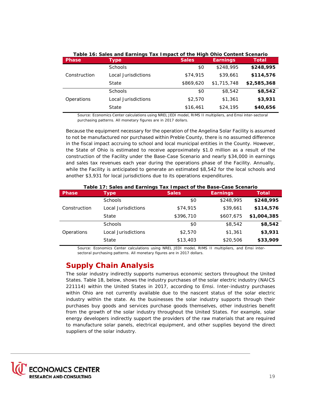|              | Table 16: Sales and Earnings Tax Impact of the High Ohio Content Scenario |              |                 |             |  |
|--------------|---------------------------------------------------------------------------|--------------|-----------------|-------------|--|
| <b>Phase</b> | Type                                                                      | <b>Sales</b> | <b>Earnings</b> | Total       |  |
|              | Schools                                                                   | \$0          | \$248,995       | \$248,995   |  |
| Construction | Local Jurisdictions                                                       | \$74,915     | \$39,661        | \$114,576   |  |
|              | State                                                                     | \$869,620    | \$1,715,748     | \$2,585,368 |  |
|              | <b>Schools</b>                                                            | \$0          | \$8,542         | \$8,542     |  |
| Operations   | Local Jurisdictions                                                       | \$2,570      | \$1,361         | \$3,931     |  |
|              | State                                                                     | \$16,461     | \$24,195        | \$40,656    |  |

Source: Economics Center calculations using NREL JEDI model, RIMS II multipliers, and Emsi inter-sectoral purchasing patterns. All monetary figures are in 2017 dollars.

Because the equipment necessary for the operation of the Angelina Solar Facility is assumed to not be manufactured nor purchased within Preble County, there is no assumed difference in the fiscal impact accruing to school and local municipal entities in the County. However, the State of Ohio is estimated to receive approximately \$1.0 million as a result of the construction of the Facility under the Base-Case Scenario and nearly \$34,000 in earnings and sales tax revenues each year during the operations phase of the Facility. Annually, while the Facility is anticipated to generate an estimated \$8,542 for the local schools and another \$3,931 for local jurisdictions due to its operations expenditures.

| <b>Phase</b> | <b>Type</b>         | <b>Sales</b> | <b>Earnings</b> | <b>Total</b> |
|--------------|---------------------|--------------|-----------------|--------------|
|              | <b>Schools</b>      | \$0          | \$248,995       | \$248,995    |
| Construction | Local Jurisdictions | \$74,915     | \$39,661        | \$114,576    |
|              | State               | \$396,710    | \$607,675       | \$1,004,385  |
|              | <b>Schools</b>      | \$0          | \$8,542         | \$8,542      |
| Operations   | Local Jurisdictions | \$2,570      | \$1,361         | \$3,931      |
|              | State               | \$13,403     | \$20,506        | \$33,909     |

Source: Economics Center calculations using NREL JEDI model, RIMS II multipliers, and Emsi intersectoral purchasing patterns. All monetary figures are in 2017 dollars.

# <span id="page-19-0"></span>**Supply Chain Analysis**

The solar industry indirectly supports numerous economic sectors throughout the United States. Table 18, below, shows the industry purchases of the solar electric industry (NAICS 221114) within the United States in 2017, according to Emsi. Inter-industry purchases within Ohio are not currently available due to the nascent status of the solar electric industry within the state. As the businesses the solar industry supports through their purchases buy goods and services purchase goods themselves, other industries benefit from the growth of the solar industry throughout the United States. For example, solar energy developers indirectly support the providers of the raw materials that are required to manufacture solar panels, electrical equipment, and other supplies beyond the direct suppliers of the solar industry.

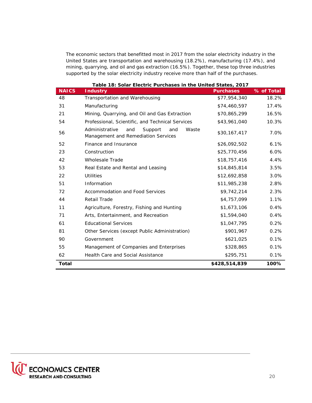The economic sectors that benefitted most in 2017 from the solar electricity industry in the United States are transportation and warehousing (18.2%), manufacturing (17.4%), and mining, quarrying, and oil and gas extraction (16.5%). Together, these top three industries supported by the solar electricity industry receive more than half of the purchases.

|              | Table 18: Solar Electric Purchases in the United States, 2017                           |                  |            |
|--------------|-----------------------------------------------------------------------------------------|------------------|------------|
| <b>NAICS</b> | <b>Industry</b>                                                                         | <b>Purchases</b> | % of Total |
| 48           | Transportation and Warehousing                                                          | \$77,954,340     | 18.2%      |
| 31           | Manufacturing                                                                           | \$74,460,597     | 17.4%      |
| 21           | Mining, Quarrying, and Oil and Gas Extraction                                           | \$70,865,299     | 16.5%      |
| 54           | Professional, Scientific, and Technical Services                                        | \$43,961,040     | 10.3%      |
| 56           | Administrative<br>Waste<br>and<br>Support<br>and<br>Management and Remediation Services | \$30,167,417     | 7.0%       |
| 52           | Finance and Insurance                                                                   | \$26,092,502     | 6.1%       |
| 23           | Construction                                                                            | \$25,770,456     | 6.0%       |
| 42           | <b>Wholesale Trade</b>                                                                  | \$18,757,416     | 4.4%       |
| 53           | Real Estate and Rental and Leasing                                                      | \$14,845,814     | 3.5%       |
| 22           | <b>Utilities</b>                                                                        | \$12,692,858     | 3.0%       |
| 51           | Information                                                                             | \$11,985,238     | 2.8%       |
| 72           | Accommodation and Food Services                                                         | \$9,742,214      | 2.3%       |
| 44           | <b>Retail Trade</b>                                                                     | \$4,757,099      | 1.1%       |
| 11           | Agriculture, Forestry, Fishing and Hunting                                              | \$1,673,106      | 0.4%       |
| 71           | Arts, Entertainment, and Recreation                                                     | \$1,594,040      | 0.4%       |
| 61           | <b>Educational Services</b>                                                             | \$1,047,795      | 0.2%       |
| 81           | Other Services (except Public Administration)                                           | \$901,967        | 0.2%       |
| 90           | Government                                                                              | \$621,025        | 0.1%       |
| 55           | Management of Companies and Enterprises                                                 | \$328,865        | 0.1%       |
| 62           | <b>Health Care and Social Assistance</b>                                                | \$295,751        | 0.1%       |
| <b>Total</b> |                                                                                         | \$428,514,839    | 100%       |

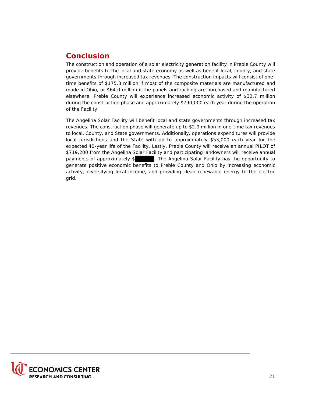# <span id="page-21-0"></span>**Conclusion**

The construction and operation of a solar electricity generation facility in Preble County will provide benefits to the local and state economy as well as benefit local, county, and state governments through increased tax revenues. The construction impacts will consist of onetime benefits of \$175.3 million if most of the composite materials are manufactured and made in Ohio, or \$64.0 million if the panels and racking are purchased and manufactured elsewhere. Preble County will experience increased economic activity of \$32.7 million during the construction phase and approximately \$790,000 each year during the operation of the Facility.

The Angelina Solar Facility will benefit local and state governments through increased tax revenues. The construction phase will generate up to \$2.9 million in one-time tax revenues to local, County, and State governments. Additionally, operations expenditures will provide local jurisdictions and the State with up to approximately \$53,000 each year for the expected 40-year life of the Facility. Lastly, Preble County will receive an annual PILOT of \$719,200 from the Angelina Solar Facility and participating landowners will receive annual payments of approximately \$ . The Angelina Solar Facility has the opportunity to generate positive economic benefits to Preble County and Ohio by increasing economic activity, diversifying local income, and providing clean renewable energy to the electric grid.

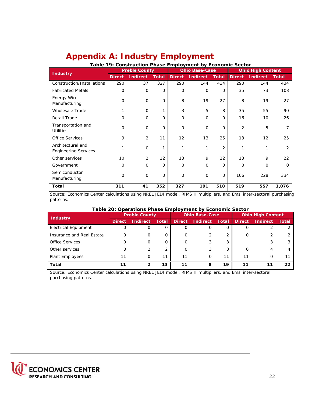<span id="page-22-0"></span>

| <b>Appendix A: Industry Employment</b> |  |  |
|----------------------------------------|--|--|
|                                        |  |  |

| Table 19: Construction Phase Employment by Economic Sector |                      |                 |              |                       |                 |                |                          |                 |              |  |  |  |
|------------------------------------------------------------|----------------------|-----------------|--------------|-----------------------|-----------------|----------------|--------------------------|-----------------|--------------|--|--|--|
| <b>Industry</b>                                            | <b>Preble County</b> |                 |              | <b>Ohio Base-Case</b> |                 |                | <b>Ohio High Content</b> |                 |              |  |  |  |
|                                                            | <b>Direct</b>        | <b>Indirect</b> | <b>Total</b> | <b>Direct</b>         | <b>Indirect</b> | <b>Total</b>   | <b>Direct</b>            | <b>Indirect</b> | <b>Total</b> |  |  |  |
| Construction/Installations                                 | 290                  | 37              | 327          | 290                   | 144             | 434            | 290                      | 144             | 434          |  |  |  |
| <b>Fabricated Metals</b>                                   | O                    | $\mathbf 0$     | 0            | $\mathbf 0$           | $\mathbf 0$     | 0              | 35                       | 73              | 108          |  |  |  |
| Energy Wire<br>Manufacturing                               | $\overline{O}$       | $\mathbf 0$     | $\mathbf{O}$ | 8                     | 19              | 27             | 8                        | 19              | 27           |  |  |  |
| Wholesale Trade                                            |                      | 0               | 1            | 3                     | 5               | 8              | 35                       | 55              | 90           |  |  |  |
| Retail Trade                                               | O                    | 0               | 0            | $\Omega$              | 0               | $\Omega$       | 16                       | 10              | 26           |  |  |  |
| Transportation and<br><b>Utilities</b>                     | $\overline{O}$       | $\mathbf 0$     | $\Omega$     | $\Omega$              | $\mathbf 0$     | $\Omega$       | 2                        | 5               | 7            |  |  |  |
| <b>Office Services</b>                                     | 9                    | $\overline{2}$  | 11           | 12                    | 13              | 25             | 13                       | 12              | 25           |  |  |  |
| Architectural and<br><b>Engineering Services</b>           | 1                    | $\mathbf 0$     | 1            |                       | 1               | $\overline{2}$ | 1                        |                 | 2            |  |  |  |
| Other services                                             | 10                   | 2               | 12           | 13                    | 9               | 22             | 13                       | 9               | 22           |  |  |  |
| Government                                                 | O                    | $\mathbf 0$     | $\mathbf{O}$ | $\mathbf 0$           | $\mathbf 0$     | 0              | $\mathbf 0$              | $\Omega$        | O            |  |  |  |
| Semiconductor<br>Manufacturing                             | $\overline{O}$       | $\mathbf 0$     | 0            | $\mathbf 0$           | $\mathbf 0$     | 0              | 106                      | 228             | 334          |  |  |  |
| Total                                                      | 311                  | 41              | 352          | 327                   | 191             | 518            | 519                      | 557             | 1,076        |  |  |  |

Source: Economics Center calculations using NREL JEDI model, RIMS II multipliers, and Emsi inter-sectoral purchasing patterns.

#### **Table 20: Operations Phase Employment by Economic Sector**

| <b>Industry</b>             | <b>Preble County</b> |                 |              | <b>Ohio Base-Case</b> |                 |              | <b>Ohio High Content</b> |                 |              |
|-----------------------------|----------------------|-----------------|--------------|-----------------------|-----------------|--------------|--------------------------|-----------------|--------------|
|                             | <b>Direct</b>        | <b>Indirect</b> | <b>Total</b> | <b>Direct</b>         | <b>Indirect</b> | <b>Total</b> | Direct.                  | <b>Indirect</b> | <b>Total</b> |
| <b>Electrical Equipment</b> |                      | 0               | 0            |                       |                 | O            | Ο                        |                 |              |
| Insurance and Real Estate   | O                    | $\Omega$        | O            | Ο                     |                 | 2            | 0                        | 2               |              |
| <b>Office Services</b>      |                      | 0               | Ο            | Ω                     | 3               | 3            |                          | 3               |              |
| Other services              | O                    | 2               | 2            | O                     | 3               | 3            | O                        | 4               |              |
| Plant Employees             | 11                   | $\Omega$        | 11           | 11                    | $\Omega$        | 11           | 11                       | 0               |              |
| Total                       | 11                   | $\overline{2}$  | 13           | 11                    | 8               | 19           | 11                       | 11              | 22           |

Source: Economics Center calculations using NREL JEDI model, RIMS II multipliers, and Emsi inter-sectoral purchasing patterns.

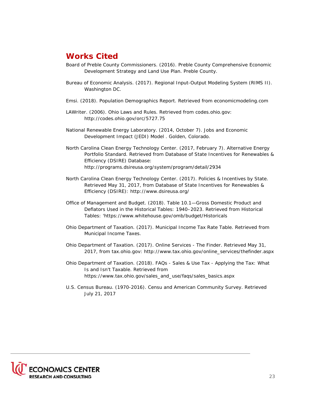# <span id="page-23-0"></span>**Works Cited**

- Board of Preble County Commissioners. (2016). *Preble County Comprehensive Economic Development Strategy and Land Use Plan.* Preble County.
- Bureau of Economic Analysis. (2017). Regional Input-Output Modeling System (RIMS II). Washington DC.
- Emsi. (2018). *Population Demographics Report*. Retrieved from economicmodeling.com
- LAWriter. (2006). *Ohio Laws and Rules*. Retrieved from codes.ohio.gov: http://codes.ohio.gov/orc/5727.75
- National Renewable Energy Laboratory. (2014, October 7). Jobs and Economic Development Impact (JEDI) Model . Golden, Colorado.
- North Carolina Clean Energy Technology Center. (2017, February 7). *Alternative Energy Portfolio Standard.* Retrieved from Database of State Incentives for Renewables & Efficiency (DSIRE) Database: http://programs.dsireusa.org/system/program/detail/2934
- North Carolina Clean Energy Technology Center. (2017). *Policies & Incentives by State.* Retrieved May 31, 2017, from Database of State Incentives for Renewables & Efficiency (DSIRE): http://www.dsireusa.org/
- Office of Management and Budget. (2018). *Table 10.1—Gross Domestic Product and Deflators Used in the Historical Tables: 1940–2023*. Retrieved from Historical Tables: 'https://www.whitehouse.gov/omb/budget/Historicals
- Ohio Department of Taxation. (2017). *Municipal Income Tax Rate Table.* Retrieved from Municipal Income Taxes.
- Ohio Department of Taxation. (2017). *Online Services The Finder.* Retrieved May 31, 2017, from tax.ohio.gov: http://www.tax.ohio.gov/online\_services/thefinder.aspx
- Ohio Department of Taxation. (2018). *FAQs Sales & Use Tax Applying the Tax: What Is and Isn't Taxable*. Retrieved from https://www.tax.ohio.gov/sales\_and\_use/faqs/sales\_basics.aspx
- U.S. Census Bureau. (1970-2016). *Censu and American Community Survey*. Retrieved July 21, 2017